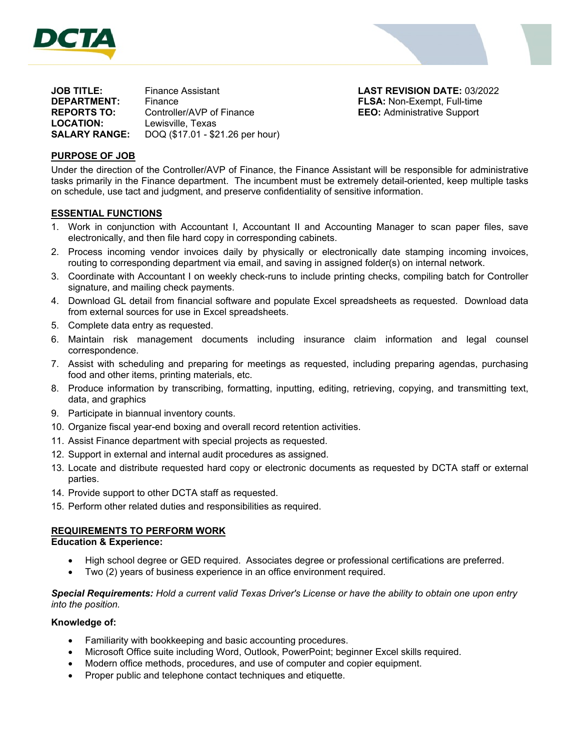



| <b>JOB TITLE:</b>    | Finance Assistant                |
|----------------------|----------------------------------|
| <b>DEPARTMENT:</b>   | Finance                          |
| <b>REPORTS TO:</b>   | Controller/AVP of Finance        |
| <b>LOCATION:</b>     | Lewisville, Texas                |
| <b>SALARY RANGE:</b> | DOQ (\$17.01 - \$21.26 per hour) |

**LAST REVISION DATE: 03/2022 FLSA: Non-Exempt, Full-time EEO:** Administrative Support

## **PURPOSE OF JOB**

Under the direction of the Controller/AVP of Finance, the Finance Assistant will be responsible for administrative tasks primarily in the Finance department. The incumbent must be extremely detail-oriented, keep multiple tasks on schedule, use tact and judgment, and preserve confidentiality of sensitive information.

### **ESSENTIAL FUNCTIONS**

- 1. Work in conjunction with Accountant I, Accountant II and Accounting Manager to scan paper files, save electronically, and then file hard copy in corresponding cabinets.
- 2. Process incoming vendor invoices daily by physically or electronically date stamping incoming invoices, routing to corresponding department via email, and saving in assigned folder(s) on internal network.
- 3. Coordinate with Accountant I on weekly check-runs to include printing checks, compiling batch for Controller signature, and mailing check payments.
- 4. Download GL detail from financial software and populate Excel spreadsheets as requested. Download data from external sources for use in Excel spreadsheets.
- 5. Complete data entry as requested.
- 6. Maintain risk management documents including insurance claim information and legal counsel correspondence.
- 7. Assist with scheduling and preparing for meetings as requested, including preparing agendas, purchasing food and other items, printing materials, etc.
- 8. Produce information by transcribing, formatting, inputting, editing, retrieving, copying, and transmitting text, data, and graphics
- 9. Participate in biannual inventory counts.
- 10. Organize fiscal year-end boxing and overall record retention activities.
- 11. Assist Finance department with special projects as requested.
- 12. Support in external and internal audit procedures as assigned.
- 13. Locate and distribute requested hard copy or electronic documents as requested by DCTA staff or external parties.
- 14. Provide support to other DCTA staff as requested.
- 15. Perform other related duties and responsibilities as required.

### **REQUIREMENTS TO PERFORM WORK**

**Education & Experience:** 

- High school degree or GED required. Associates degree or professional certifications are preferred.
- Two (2) years of business experience in an office environment required.

*Special Requirements: Hold a current valid Texas Driver's License or have the ability to obtain one upon entry into the position.* 

### **Knowledge of:**

- Familiarity with bookkeeping and basic accounting procedures.
- Microsoft Office suite including Word, Outlook, PowerPoint; beginner Excel skills required.
- Modern office methods, procedures, and use of computer and copier equipment.
- Proper public and telephone contact techniques and etiquette.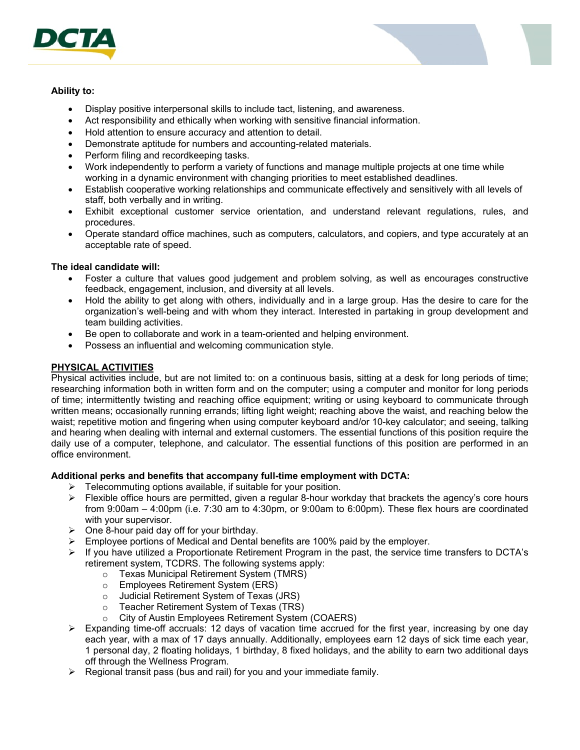

### **Ability to:**

- Display positive interpersonal skills to include tact, listening, and awareness.
- Act responsibility and ethically when working with sensitive financial information.
- Hold attention to ensure accuracy and attention to detail.
- Demonstrate aptitude for numbers and accounting-related materials.
- Perform filing and recordkeeping tasks.
- Work independently to perform a variety of functions and manage multiple projects at one time while working in a dynamic environment with changing priorities to meet established deadlines.
- Establish cooperative working relationships and communicate effectively and sensitively with all levels of staff, both verbally and in writing.
- Exhibit exceptional customer service orientation, and understand relevant regulations, rules, and procedures.
- Operate standard office machines, such as computers, calculators, and copiers, and type accurately at an acceptable rate of speed.

### **The ideal candidate will:**

- Foster a culture that values good judgement and problem solving, as well as encourages constructive feedback, engagement, inclusion, and diversity at all levels.
- Hold the ability to get along with others, individually and in a large group. Has the desire to care for the organization's well-being and with whom they interact. Interested in partaking in group development and team building activities.
- Be open to collaborate and work in a team-oriented and helping environment.
- Possess an influential and welcoming communication style.

# **PHYSICAL ACTIVITIES**

Physical activities include, but are not limited to: on a continuous basis, sitting at a desk for long periods of time; researching information both in written form and on the computer; using a computer and monitor for long periods of time; intermittently twisting and reaching office equipment; writing or using keyboard to communicate through written means; occasionally running errands; lifting light weight; reaching above the waist, and reaching below the waist; repetitive motion and fingering when using computer keyboard and/or 10-key calculator; and seeing, talking and hearing when dealing with internal and external customers. The essential functions of this position require the daily use of a computer, telephone, and calculator. The essential functions of this position are performed in an office environment.

### **Additional perks and benefits that accompany full-time employment with DCTA:**

- $\triangleright$  Telecommuting options available, if suitable for your position.
- $\triangleright$  Flexible office hours are permitted, given a regular 8-hour workday that brackets the agency's core hours from 9:00am – 4:00pm (i.e. 7:30 am to 4:30pm, or 9:00am to 6:00pm). These flex hours are coordinated with your supervisor.
- $\triangleright$  One 8-hour paid day off for your birthday.
- $\triangleright$  Employee portions of Medical and Dental benefits are 100% paid by the employer.
- $\triangleright$  If you have utilized a Proportionate Retirement Program in the past, the service time transfers to DCTA's retirement system, TCDRS. The following systems apply:
	- o Texas Municipal Retirement System (TMRS)
		- o Employees Retirement System (ERS)
		- o Judicial Retirement System of Texas (JRS)
		- o Teacher Retirement System of Texas (TRS)
		- City of Austin Employees Retirement System (COAERS)
- $\triangleright$  Expanding time-off accruals: 12 days of vacation time accrued for the first year, increasing by one day each year, with a max of 17 days annually. Additionally, employees earn 12 days of sick time each year, 1 personal day, 2 floating holidays, 1 birthday, 8 fixed holidays, and the ability to earn two additional days off through the Wellness Program.
- $\triangleright$  Regional transit pass (bus and rail) for you and your immediate family.